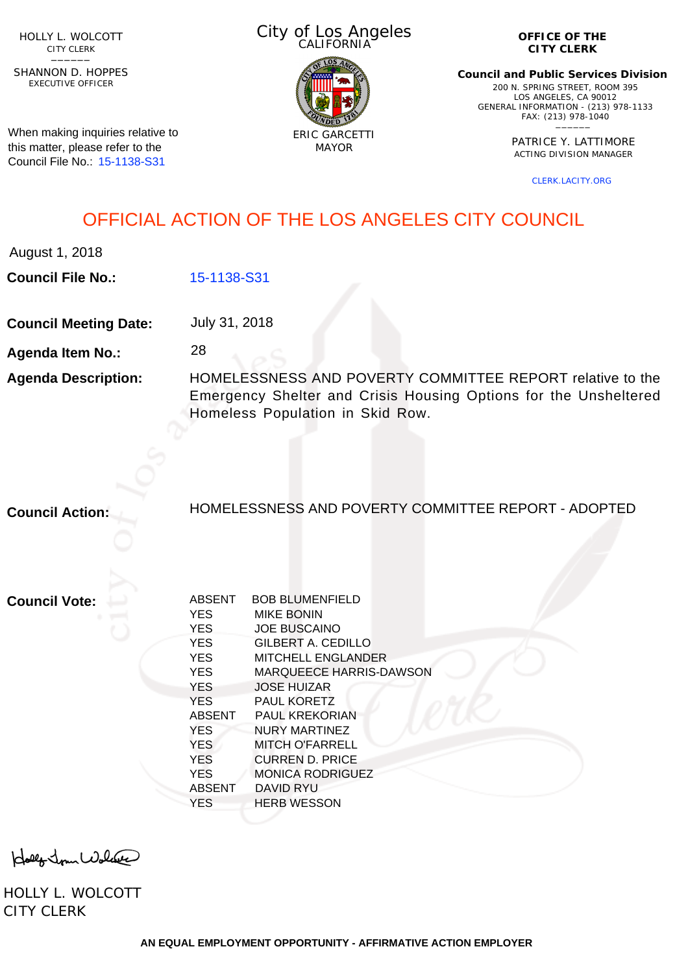HOLLY L. WOLCOTT CITY CLERK<br>—————

EXECUTIVE OFFICER SHANNON D. HOPPES

When making inquiries relative to this matter, please refer to the Council File No.: [15-1138-S31](http://cityclerk.lacity.org/lacityclerkconnect/index.cfm?fa=ccfi.viewrecord&cfnumber=15-1138-S31)

City of Los Angeles CALIFORNIA



**OFFICE OF THE CITY CLERK**

**Council and Public Services Division** 200 N. SPRING STREET, ROOM 395 LOS ANGELES, CA 90012 GENERAL INFORMATION - (213) 978-1133 FAX: (213) 978-1040 \_\_\_\_\_\_

> PATRICE Y. LATTIMORE ACTING DIVISION MANAGER

> > [CLERK.LACITY.ORG](http://clerk.lacity.org)

## OFFICIAL ACTION OF THE LOS ANGELES CITY COUNCIL

August 1, 2018

**Council File No.:** [15-1138-S31](http://cityclerk.lacity.org/lacityclerkconnect/index.cfm?fa=ccfi.viewrecord&cfnumber=15-1138-S31)

**Council Meeting Date:** July 31, 2018

28

**Agenda Item No.:**

**Agenda Description:** HOMELESSNESS AND POVERTY COMMITTEE REPORT relative to the Emergency Shelter and Crisis Housing Options for the Unsheltered Homeless Population in Skid Row.

**Council Action:**

HOMELESSNESS AND POVERTY COMMITTEE REPORT - ADOPTED

**Council Vote:**

| <b>ABSENT</b> | <b>BOB BLUMENFIELD</b>  |
|---------------|-------------------------|
| <b>YES</b>    | <b>MIKE BONIN</b>       |
| <b>YES</b>    | <b>JOE BUSCAINO</b>     |
| <b>YES</b>    | GILBERT A. CEDILLO      |
| <b>YES</b>    | MITCHELL ENGLANDER      |
| <b>YES</b>    | MARQUEECE HARRIS-DAWSON |
| <b>YES</b>    | <b>JOSE HUIZAR</b>      |
| <b>YES</b>    | <b>PAUL KORETZ</b>      |
| <b>ABSENT</b> | <b>PAUL KREKORIAN</b>   |
| <b>YES</b>    | NURY MARTINEZ           |
| <b>YES</b>    | MITCH O'FARRELL         |
| <b>YES</b>    | CURREN D. PRICE         |
| <b>YES</b>    | <b>MONICA RODRIGUEZ</b> |
| ABSENT        | <b>DAVID RYU</b>        |
| <b>YES</b>    | <b>HERB WESSON</b>      |
|               |                         |

Holly Jour Wolcase

HOLLY L. WOLCOTT CITY CLERK